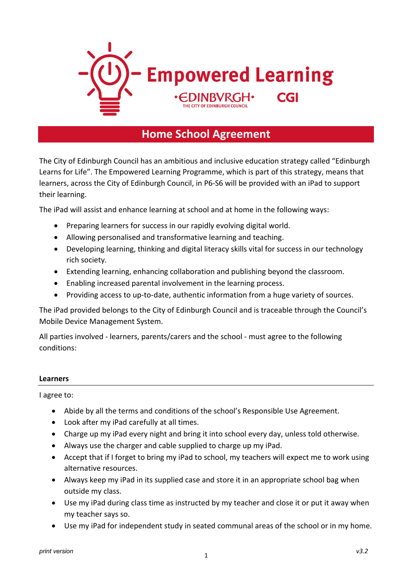

## **Home School Agreement**

The City of Edinburgh Council has an ambitious and inclusive education strategy called "Edinburgh Learns for Life". The Empowered Learning Programme, which is part of this strategy, means that learners, across the City of Edinburgh Council, in P6-S6 will be provided with an iPad to support their learning.

The iPad will assist and enhance learning at school and at home in the following ways:

- Preparing learners for success in our rapidly evolving digital world.
- Allowing personalised and transformative learning and teaching.
- Developing learning, thinking and digital literacy skills vital for success in our technology rich society.
- Extending learning, enhancing collaboration and publishing beyond the classroom.
- Enabling increased parental involvement in the learning process.
- Providing access to up-to-date, authentic information from a huge variety of sources.

The iPad provided belongs to the City of Edinburgh Council and is traceable through the Council's Mobile Device Management System.

All parties involved - learners, parents/carers and the school - must agree to the following conditions:

#### **Learners**

I agree to:

- Abide by all the terms and conditions of the school's Responsible Use Agreement.
- Look after my iPad carefully at all times.
- Charge up my iPad every night and bring it into school every day, unless told otherwise.
- Always use the charger and cable supplied to charge up my iPad.
- Accept that if I forget to bring my iPad to school, my teachers will expect me to work using alternative resources.
- Always keep my iPad in its supplied case and store it in an appropriate school bag when outside my class.
- Use my iPad during class time as instructed by my teacher and close it or put it away when my teacher says so.
- Use my iPad for independent study in seated communal areas of the school or in my home.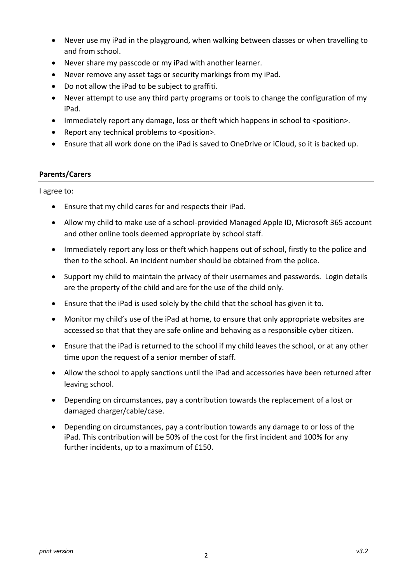- Never use my iPad in the playground, when walking between classes or when travelling to and from school.
- Never share my passcode or my iPad with another learner.
- Never remove any asset tags or security markings from my iPad.
- Do not allow the iPad to be subject to graffiti.
- Never attempt to use any third party programs or tools to change the configuration of my iPad.
- Immediately report any damage, loss or theft which happens in school to <position>.
- Report any technical problems to <position>.
- Ensure that all work done on the iPad is saved to OneDrive or iCloud, so it is backed up.

#### **Parents/Carers**

I agree to:

- Ensure that my child cares for and respects their iPad.
- Allow my child to make use of a school-provided Managed Apple ID, Microsoft 365 account and other online tools deemed appropriate by school staff.
- Immediately report any loss or theft which happens out of school, firstly to the police and then to the school. An incident number should be obtained from the police.
- Support my child to maintain the privacy of their usernames and passwords. Login details are the property of the child and are for the use of the child only.
- Ensure that the iPad is used solely by the child that the school has given it to.
- Monitor my child's use of the iPad at home, to ensure that only appropriate websites are accessed so that that they are safe online and behaving as a responsible cyber citizen.
- Ensure that the iPad is returned to the school if my child leaves the school, or at any other time upon the request of a senior member of staff.
- Allow the school to apply sanctions until the iPad and accessories have been returned after leaving school.
- Depending on circumstances, pay a contribution towards the replacement of a lost or damaged charger/cable/case.
- Depending on circumstances, pay a contribution towards any damage to or loss of the iPad. This contribution will be 50% of the cost for the first incident and 100% for any further incidents, up to a maximum of £150.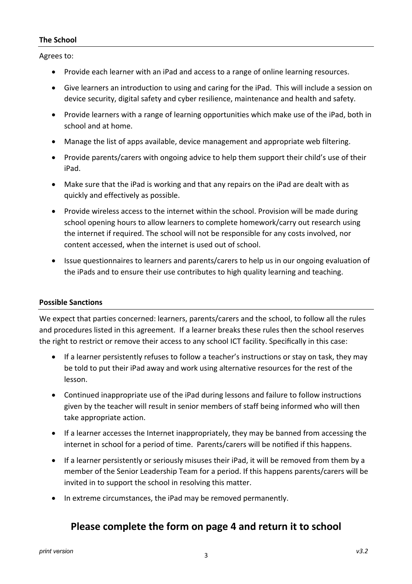#### **The School**

Agrees to:

- Provide each learner with an iPad and access to a range of online learning resources.
- Give learners an introduction to using and caring for the iPad. This will include a session on device security, digital safety and cyber resilience, maintenance and health and safety.
- Provide learners with a range of learning opportunities which make use of the iPad, both in school and at home.
- Manage the list of apps available, device management and appropriate web filtering.
- Provide parents/carers with ongoing advice to help them support their child's use of their iPad.
- Make sure that the iPad is working and that any repairs on the iPad are dealt with as quickly and effectively as possible.
- Provide wireless access to the internet within the school. Provision will be made during school opening hours to allow learners to complete homework/carry out research using the internet if required. The school will not be responsible for any costs involved, nor content accessed, when the internet is used out of school.
- Issue questionnaires to learners and parents/carers to help us in our ongoing evaluation of the iPads and to ensure their use contributes to high quality learning and teaching.

#### **Possible Sanctions**

We expect that parties concerned: learners, parents/carers and the school, to follow all the rules and procedures listed in this agreement. If a learner breaks these rules then the school reserves the right to restrict or remove their access to any school ICT facility. Specifically in this case:

- If a learner persistently refuses to follow a teacher's instructions or stay on task, they may be told to put their iPad away and work using alternative resources for the rest of the lesson.
- Continued inappropriate use of the iPad during lessons and failure to follow instructions given by the teacher will result in senior members of staff being informed who will then take appropriate action.
- If a learner accesses the Internet inappropriately, they may be banned from accessing the internet in school for a period of time. Parents/carers will be notified if this happens.
- If a learner persistently or seriously misuses their iPad, it will be removed from them by a member of the Senior Leadership Team for a period. If this happens parents/carers will be invited in to support the school in resolving this matter.
- In extreme circumstances, the iPad may be removed permanently.

### **Please complete the form on page 4 and return it to school**